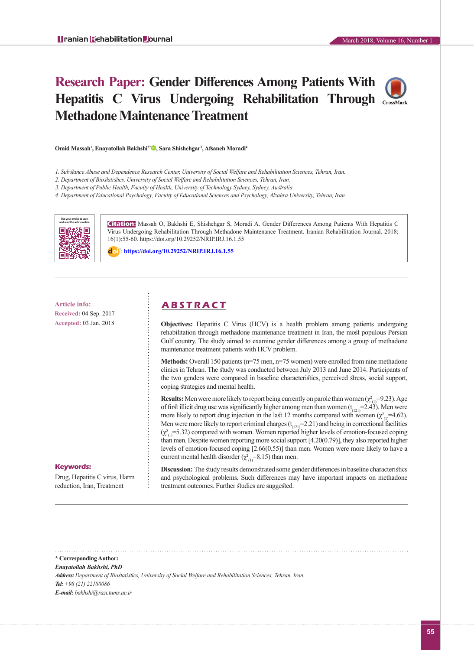# **Research Paper: Gender Differences Among Patients With Hepatitis C Virus Undergoing Rehabilitation Through Methadone Maintenance Treatment**



**Omid Massah1 , Enayatollah Bakhshi2\* [,](http://orcid.org/0000-0001-8049-0190) Sara Shishehgar<sup>3</sup> , Afsaneh Moradi<sup>4</sup>**

- *1. Substance Abuse and Dependence Research Center, University of Social Welfare and Rehabilitation Sciences, Tehran, Iran.*
- *2. Department of Biostatistics, University of Social Welfare and Rehabilitation Sciences, Tehran, Iran.*
- *3. Department of Public Health, Faculty of Health, University of Technology Sydney, Sydney, Australia.*
- *4. Department of Educational Psychology, Faculty of Educational Sciences and Psychology, Alzahra University, Tehran, Iran.*



**Citation:** Massah O, Bakhshi E, Shishehgar S, Moradi A. Gender Differences Among Patients With Hepatitis C Virus Undergoing Rehabilitation Through Methadone Maintenance Treatment. Iranian Rehabilitation Journal. 2018; 16(1):55-60. https://doi.org/10.29252/NRIP.IRJ.16.1.55

: **<https://doi.org/10.29252/NRIP.IRJ.16.1.55>**

**Received:** 04 Sep. 2017 **Accepted:** 03 Jan. 2018

# **Article info: A B S T R A C T**

**Objectives:** Hepatitis C Virus (HCV) is a health problem among patients undergoing rehabilitation through methadone maintenance treatment in Iran, the most populous Persian Gulf country. The study aimed to examine gender differences among a group of methadone maintenance treatment patients with HCV problem.

**Methods:** Overall 150 patients (n=75 men, n=75 women) were enrolled from nine methadone clinics in Tehran. The study was conducted between July 2013 and June 2014. Participants of the two genders were compared in baseline characteristics, perceived stress, social support, coping strategies and mental health.

**Results:** Men were more likely to report being currently on parole than women  $(\chi^2_{(1)}=9.23)$ . Age of first illicit drug use was significantly higher among men than women  $(t_{(121)}=2.43)$ . Men were more likely to report drug injection in the last 12 months compared with women ( $\chi^2_{(1)}$ =4.62). Men were more likely to report criminal charges  $(t<sub>(121)</sub> = 2.21)$  and being in correctional facilities  $(\chi^2_{(1)}=5.32)$  compared with women. Women reported higher levels of emotion-focused coping than men. Despite women reporting more social support [4.20(0.79)], they also reported higher levels of emotion-focused coping [2.66(0.55)] than men. Women were more likely to have a current mental health disorder ( $\chi^2_{(1)}$ =8.15) than men.

#### **Keywords:**

Drug, Hepatitis C virus, Harm reduction, Iran, Treatment

**Discussion:** The study results demonstrated some gender differences in baseline characteristics and psychological problems. Such differences may have important impacts on methadone treatment outcomes. Further studies are suggested.

**\* Corresponding Author:** *Enayatollah Bakhshi, PhD Address: Department of Biostatistics, University of Social Welfare and Rehabilitation Sciences, Tehran, Iran. Tel: +98 (21) 22180086 E-mail: bakhshi@razi.tums.ac.ir*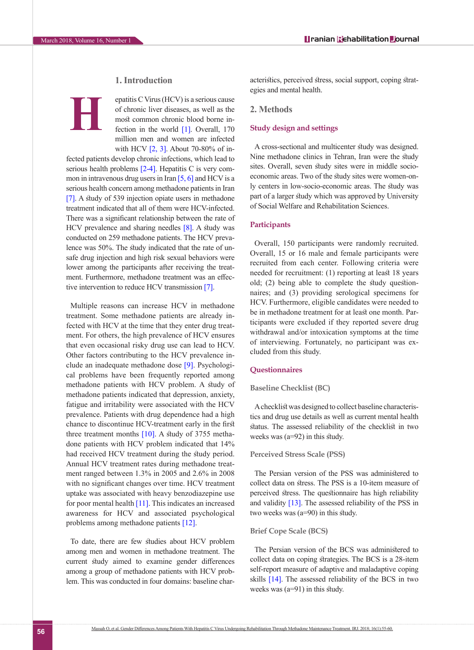# **1. Introduction**

**H**

epatitis C Virus (HCV) is a serious cause of chronic liver diseases, as well as the most common chronic blood borne infection in the world [\[1\]](#page-4-0). Overall, 170 million men and women are infected with HCV [2, [3\].](#page-4-1) About 70-80% of in-

fected patients develop chronic infections, which lead to serious health problems [2-4]. Hepatitis C is very common in intravenous drug users in Iran  $[5, 6]$  and HCV is a serious health concern among methadone patients in Iran [\[7\]](#page-4-4). A study of 539 injection opiate users in methadone treatment indicated that all of them were HCV-infected. There was a significant relationship between the rate of HCV prevalence and sharing needles [\[8\]](#page-4-5). A study was conducted on 259 methadone patients. The HCV prevalence was 50%. The study indicated that the rate of unsafe drug injection and high risk sexual behaviors were lower among the participants after receiving the treatment. Furthermore, methadone treatment was an effec-tive intervention to reduce HCV transmission [\[7\]](#page-4-4).

Multiple reasons can increase HCV in methadone treatment. Some methadone patients are already infected with HCV at the time that they enter drug treatment. For others, the high prevalence of HCV ensures that even occasional risky drug use can lead to HCV. Other factors contributing to the HCV prevalence include an inadequate methadone dose [\[9\].](#page-4-6) Psychological problems have been frequently reported among methadone patients with HCV problem. A study of methadone patients indicated that depression, anxiety, fatigue and irritability were associated with the HCV prevalence. Patients with drug dependence had a high chance to discontinue HCV-treatment early in the first three treatment months  $[10]$ . A study of 3755 methadone patients with HCV problem indicated that 14% had received HCV treatment during the study period. Annual HCV treatment rates during methadone treatment ranged between 1.3% in 2005 and 2.6% in 2008 with no significant changes over time. HCV treatment uptake was associated with heavy benzodiazepine use for poor mental health [\[11\]](#page-4-8). This indicates an increased awareness for HCV and associated psychological problems among methadone patients [\[12\]](#page-4-9).

To date, there are few studies about HCV problem among men and women in methadone treatment. The current study aimed to examine gender differences among a group of methadone patients with HCV problem. This was conducted in four domains: baseline characteristics, perceived stress, social support, coping strategies and mental health.

# **2. Methods**

#### **Study design and settings**

A cross-sectional and multicenter study was designed. Nine methadone clinics in Tehran, Iran were the study sites. Overall, seven study sites were in middle socioeconomic areas. Two of the study sites were women-only centers in low-socio-economic areas. The study was part of a larger study which was approved by University of Social Welfare and Rehabilitation Sciences.

#### **Participants**

Overall, 150 participants were randomly recruited. Overall, 15 or 16 male and female participants were recruited from each center. Following criteria were needed for recruitment: (1) reporting at least 18 years old; (2) being able to complete the study questionnaires; and (3) providing serological specimens for HCV. Furthermore, eligible candidates were needed to be in methadone treatment for at least one month. Participants were excluded if they reported severe drug withdrawal and/or intoxication symptoms at the time of interviewing. Fortunately, no participant was excluded from this study.

#### **Questionnaires**

### **Baseline Checklist (BC)**

A checklist was designed to collect baseline characteristics and drug use details as well as current mental health status. The assessed reliability of the checklist in two weeks was (a=92) in this study.

# **Perceived Stress Scale (PSS)**

The Persian version of the PSS was administered to collect data on stress. The PSS is a 10-item measure of perceived stress. The questionnaire has high reliability and validity [\[13\]](#page-4-10). The assessed reliability of the PSS in two weeks was (a=90) in this study.

#### **Brief Cope Scale (BCS)**

The Persian version of the BCS was administered to collect data on coping strategies. The BCS is a 28-item self-report measure of adaptive and maladaptive coping skills [14]. The assessed reliability of the BCS in two weeks was  $(a=91)$  in this study.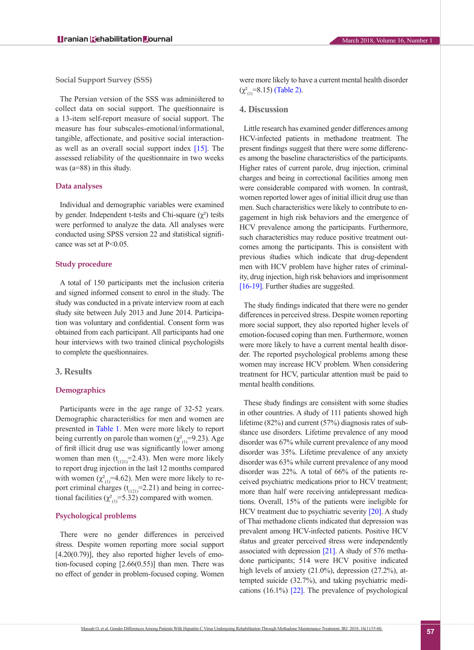**Social Support Survey (SSS)**

The Persian version of the SSS was administered to collect data on social support. The questionnaire is a 13-item self-report measure of social support. The measure has four subscales-emotional/informational, tangible, affectionate, and positive social interactionas well as an overall social support index [\[15\]](#page-4-11). The assessed reliability of the questionnaire in two weeks was  $(a=88)$  in this study.

#### **Data analyses**

Individual and demographic variables were examined by gender. Independent t-tests and Chi-square  $(\chi^2)$  tests were performed to analyze the data. All analyses were conducted using SPSS version 22 and statistical significance was set at  $P<0.05$ .

#### **Study procedure**

A total of 150 participants met the inclusion criteria and signed informed consent to enrol in the study. The study was conducted in a private interview room at each study site between July 2013 and June 2014. Participation was voluntary and confidential. Consent form was obtained from each participant. All participants had one hour interviews with two trained clinical psychologists to complete the questionnaires.

#### **3. Results**

#### **Demographics**

Participants were in the age range of 32-52 years. Demographic characteristics for men and women are presented in [Table 1.](#page-3-0) Men were more likely to report being currently on parole than women ( $\chi^2$ <sub>(1)</sub>=9.23). Age of first illicit drug use was significantly lower among women than men  $(t_{(121)}=2.43)$ . Men were more likely to report drug injection in the last 12 months compared with women  $(\chi^2_{(1)}=4.62)$ . Men were more likely to report criminal charges  $(t_{(121)}=2.21)$  and being in correctional facilities ( $\chi^2_{(1)}$ =5.32) compared with women.

# **Psychological problems**

There were no gender differences in perceived stress. Despite women reporting more social support  $[4.20(0.79)]$ , they also reported higher levels of emotion-focused coping [2.66(0.55)] than men. There was no effect of gender in problem-focused coping. Women were more likely to have a current mental health disorder  $(\chi^2_{(1)}=8.15)$  [\(Table 2\)](#page-3-1).

#### **4. Discussion**

Little research has examined gender differences among HCV-infected patients in methadone treatment. The present findings suggest that there were some differences among the baseline characteristics of the participants. Higher rates of current parole, drug injection, criminal charges and being in correctional facilities among men were considerable compared with women. In contrast, women reported lower ages of initial illicit drug use than men. Such characteristics were likely to contribute to engagement in high risk behaviors and the emergence of HCV prevalence among the participants. Furthermore, such characteristics may reduce positive treatment outcomes among the participants. This is consistent with previous studies which indicate that drug-dependent men with HCV problem have higher rates of criminality, drug injection, high risk behaviors and imprisonment [\[16-19\].](#page-5-0) Further studies are suggested.

The study findings indicated that there were no gender differences in perceived stress. Despite women reporting more social support, they also reported higher levels of emotion-focused coping than men. Furthermore, women were more likely to have a current mental health disorder. The reported psychological problems among these women may increase HCV problem. When considering treatment for HCV, particular attention must be paid to mental health conditions.

These study findings are consistent with some studies in other countries. A study of 111 patients showed high lifetime (82%) and current (57%) diagnosis rates of substance use disorders. Lifetime prevalence of any mood disorder was 67% while current prevalence of any mood disorder was 35%. Lifetime prevalence of any anxiety disorder was 63% while current prevalence of any mood disorder was 22%. A total of 66% of the patients received psychiatric medications prior to HCV treatment; more than half were receiving antidepressant medications. Overall, 15% of the patients were ineligible for HCV treatment due to psychiatric severity [20]. A study of Thai methadone clients indicated that depression was prevalent among HCV-infected patients. Positive HCV status and greater perceived stress were independently associated with depression [\[21\]](#page-5-1). A study of 576 methadone participants; 514 were HCV positive indicated high levels of anxiety (21.0%), depression (27.2%), attempted suicide (32.7%), and taking psychiatric medications (16.1%) [\[22\]](#page-5-2). The prevalence of psychological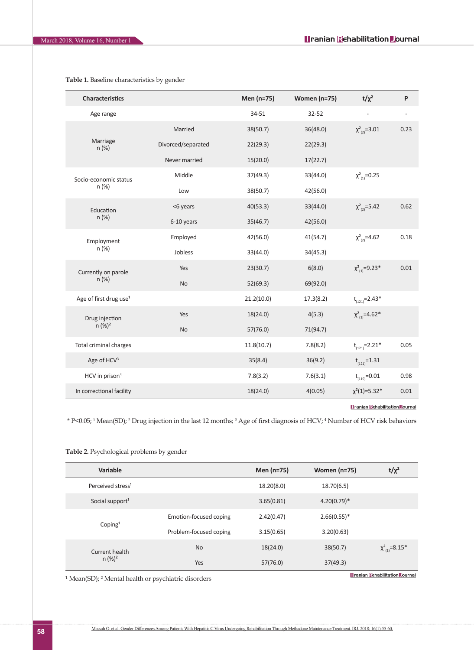| <b>Characteristics</b>             |                    | Men (n=75) | Women (n=75) | $t/\chi^2$              | P                        |
|------------------------------------|--------------------|------------|--------------|-------------------------|--------------------------|
| Age range                          |                    | 34-51      | 32-52        |                         | $\overline{\phantom{a}}$ |
| Marriage<br>n (%)                  | Married            | 38(50.7)   | 36(48.0)     | $\chi^2_{(2)} = 3.01$   | 0.23                     |
|                                    | Divorced/separated | 22(29.3)   | 22(29.3)     |                         |                          |
|                                    | Never married      | 15(20.0)   | 17(22.7)     |                         |                          |
| Socio-economic status<br>n (%)     | Middle             | 37(49.3)   | 33(44.0)     | $\chi^2_{(1)} = 0.25$   |                          |
|                                    | Low                | 38(50.7)   | 42(56.0)     |                         |                          |
| Education<br>n (%)                 | <6 years           | 40(53.3)   | 33(44.0)     | $\chi^2_{(2)} = 5.42$   | 0.62                     |
|                                    | 6-10 years         | 35(46.7)   | 42(56.0)     |                         |                          |
| Employment<br>n (%)                | Employed           | 42(56.0)   | 41(54.7)     | $\chi^2_{(2)} = 4.62$   | 0.18                     |
|                                    | Jobless            | 33(44.0)   | 34(45.3)     |                         |                          |
| Currently on parole                | Yes                | 23(30.7)   | 6(8.0)       | $\chi^2_{(1)} = 9.23*$  | 0.01                     |
| n (%)                              | <b>No</b>          | 52(69.3)   | 69(92.0)     |                         |                          |
| Age of first drug use <sup>1</sup> |                    | 21.2(10.0) | 17.3(8.2)    | $t_{(121)} = 2.43*$     |                          |
| Drug injection<br>$n (%)^2$        | Yes                | 18(24.0)   | 4(5.3)       | $\chi^2_{(1)} = 4.62^*$ |                          |
|                                    | <b>No</b>          | 57(76.0)   | 71(94.7)     |                         |                          |
| <b>Total criminal charges</b>      |                    | 11.8(10.7) | 7.8(8.2)     | $t_{(121)} = 2.21*$     | 0.05                     |
| Age of HCV <sup>3</sup>            |                    | 35(8.4)    | 36(9.2)      | $t_{(121)} = 1.31$      |                          |
| HCV in prison <sup>4</sup>         |                    | 7.8(3.2)   | 7.6(3.1)     | $t_{(119)} = 0.01$      | 0.98                     |
| In correctional facility           |                    | 18(24.0)   | 4(0.05)      | $\chi^2(1)=5.32*$       | 0.01                     |

<span id="page-3-0"></span>**Table 1.** Baseline characteristics by gender

**<u>Il ranian Rehabilitation Dournal</u>** 

\* P<0.05; <sup>1</sup> Mean(SD); <sup>2</sup> Drug injection in the last 12 months; <sup>3</sup> Age of first diagnosis of HCV; <sup>4</sup> Number of HCV risk behaviors

<span id="page-3-1"></span>**Table 2.** Psychological problems by gender

| Variable                      |                        | Men (n=75) | <b>Women (n=75)</b> | $t/\chi^2$                                |
|-------------------------------|------------------------|------------|---------------------|-------------------------------------------|
| Perceived stress <sup>1</sup> |                        | 18.20(8.0) | 18.70(6.5)          |                                           |
| Social support <sup>1</sup>   |                        | 3.65(0.81) | $4.20(0.79)^*$      |                                           |
|                               | Emotion-focused coping | 2.42(0.47) | $2.66(0.55)*$       |                                           |
| Coping <sup>1</sup>           | Problem-focused coping | 3.15(0.65) | 3.20(0.63)          |                                           |
| Current health                | No                     | 18(24.0)   | 38(50.7)            | $\chi^2_{(1)} = 8.15^*$                   |
| $n (%)^2$                     | Yes                    | 57(76.0)   | 37(49.3)            |                                           |
|                               |                        |            |                     | <b>Honning Febraility tion Foundation</b> |

<sup>1</sup> Mean(SD); <sup>2</sup> Mental health or psychiatric disorders

**<u>Branian Rehabilitation Dournal</u>**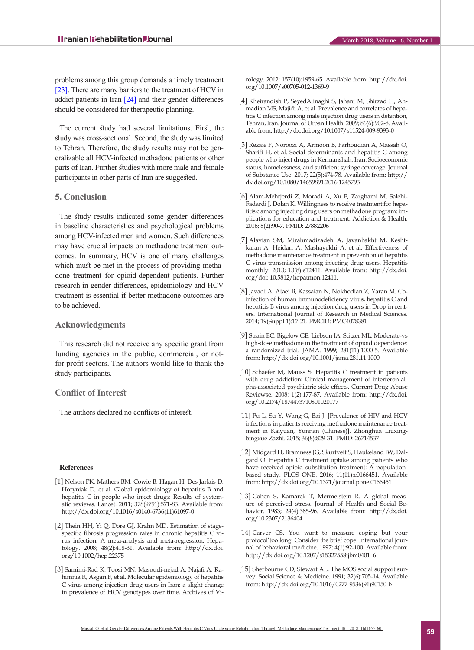problems among this group demands a timely treatment [\[23\]](#page-5-3). There are many barriers to the treatment of HCV in addict patients in Iran [\[24\]](#page-5-4) and their gender differences should be considered for therapeutic planning.

The current study had several limitations. First, the study was cross-sectional. Second, the study was limited to Tehran. Therefore, the study results may not be generalizable all HCV-infected methadone patients or other parts of Iran. Further studies with more male and female participants in other parts of Iran are suggested.

# **5. Conclusion**

The study results indicated some gender differences in baseline characteristics and psychological problems among HCV-infected men and women. Such differences may have crucial impacts on methadone treatment outcomes. In summary, HCV is one of many challenges which must be met in the process of providing methadone treatment for opioid-dependent patients. Further research in gender differences, epidemiology and HCV treatment is essential if better methadone outcomes are to be achieved.

# **Acknowledgments**

This research did not receive any specific grant from funding agencies in the public, commercial, or notfor-profit sectors. The authors would like to thank the study participants.

# **Conflict of Interest**

The authors declared no conflicts of interest.

#### <span id="page-4-0"></span>**References**

- [1] Nelson PK, Mathers BM, Cowie B, Hagan H, Des Jarlais D, Horyniak D, et al. Global epidemiology of hepatitis B and hepatitis C in people who inject drugs: Results of systematic reviews. Lancet. 2011; 378(9791):571-83. Available from: http://dx.doi.org/10.1016/s0140-6736(11)61097-0
- [2] Thein HH, Yi Q, Dore GJ, Krahn MD. Estimation of stagespecific fibrosis progression rates in chronic hepatitis C virus infection: A meta‐analysis and meta‐regression. Hepatology. 2008; 48(2):418-31. Available from: http://dx.doi. org/10.1002/hep.22375
- <span id="page-4-1"></span>[3] Samimi-Rad K, Toosi MN, Masoudi-nejad A, Najafi A, Rahimnia R, Asgari F, et al. Molecular epidemiology of hepatitis C virus among injection drug users in Iran: a slight change in prevalence of HCV genotypes over time. Archives of Vi-

rology. 2012; 157(10):1959-65. Available from: http://dx.doi. org/10.1007/s00705-012-1369-9

- [4] Kheirandish P, SeyedAlinaghi S, Jahani M, Shirzad H, Ahmadian MS, Majidi A, et al. Prevalence and correlates of hepatitis C infection among male injection drug users in detention, Tehran, Iran. Journal of Urban Health. 2009; 86(6):902-8. Available from: http://dx.doi.org/10.1007/s11524-009-9393-0
- <span id="page-4-2"></span>[5] Rezaie F, Noroozi A, Armoon B, Farhoudian A, Massah O, Sharifi H, et al. Social determinants and hepatitis C among people who inject drugs in Kermanshah, Iran: Socioeconomic status, homelessness, and sufficient syringe coverage. Journal of Substance Use. 2017; 22(5):474-78. Available from: http:// dx.doi.org/10.1080/14659891.2016.1245793
- <span id="page-4-3"></span>[6] Alam-Mehrjerdi Z, Moradi A, Xu F, Zarghami M, Salehi-Fadardi J, Dolan K. Willingness to receive treatment for hepatitis c among injecting drug users on methadone program: implications for education and treatment. Addiction & Health. 2016; 8(2):90-7. PMID: 27882206
- <span id="page-4-4"></span>[7] Alavian SM, Mirahmadizadeh A, Javanbakht M, Keshtkaran A, Heidari A, Mashayekhi A, et al. Effectiveness of methadone maintenance treatment in prevention of hepatitis C virus transmission among injecting drug users. Hepatitis monthly. 2013; 13(8):e12411. Available from: http://dx.doi. org/doi: 10.5812/hepatmon.12411.
- <span id="page-4-5"></span>[8] Javadi A, Ataei B, Kassaian N, Nokhodian Z, Yaran M. Coinfection of human immunodeficiency virus, hepatitis C and hepatitis B virus among injection drug users in Drop in centers. International Journal of Research in Medical Sciences. 2014; 19(Suppl 1):17-21. PMCID: PMC4078381
- <span id="page-4-6"></span>[9] Strain EC, Bigelow GE, Liebson IA, Stitzer ML. Moderate-vs high-dose methadone in the treatment of opioid dependence: a randomized trial. JAMA. 1999; 281(11):1000-5. Available from: http://dx.doi.org/10.1001/jama.281.11.1000
- <span id="page-4-7"></span>[10] Schaefer M, Mauss S. Hepatitis C treatment in patients with drug addiction: Clinical management of interferon-alpha-associated psychiatric side effects. Current Drug Abuse Reviewse. 2008;  $1(2)$ :177-87. Available from: http://dx.doi. org/10.2174/1874473710801020177
- <span id="page-4-8"></span>[11] Pu L, Su Y, Wang G, Bai J. [Prevalence of HIV and HCV infections in patients receiving methadone maintenance treatment in Kaiyuan, Yunnan (Chinese)]. Zhonghua Liuxingbingxue Zazhi. 2015; 36(8):829-31. PMID: 26714537
- <span id="page-4-9"></span>[12] Midgard H, Bramness JG, Skurtveit S, Haukeland JW, Dalgard O. Hepatitis C treatment uptake among patients who have received opioid substitution treatment: A populationbased study. PLOS ONE. 2016; 11(11):e0166451. Available from: http://dx.doi.org/10.1371/journal.pone.0166451
- <span id="page-4-10"></span>[13] Cohen S, Kamarck T, Mermelstein R. A global measure of perceived stress. Journal of Health and Social Behavior. 1983; 24(4):385-96. Available from: http://dx.doi. org/10.2307/2136404
- [14] Carver CS. You want to measure coping but your protocol'too long: Consider the brief cope. International journal of behavioral medicine. 1997; 4(1):92-100. Available from: http://dx.doi.org/10.1207/s15327558ijbm0401\_6
- <span id="page-4-11"></span>[15] Sherbourne CD, Stewart AL. The MOS social support survey. Social Science & Medicine. 1991; 32(6):705-14. Available from: http://dx.doi.org/10.1016/0277-9536(91)90150-b